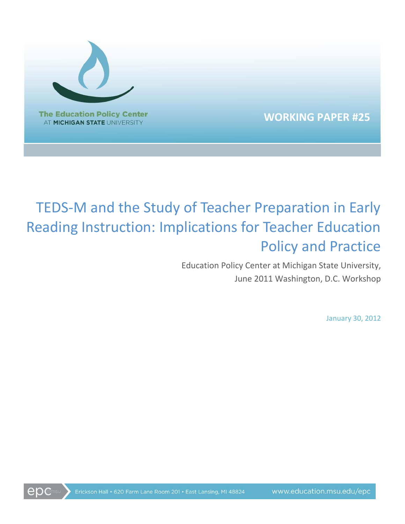

**WORKING PAPER #25**

# TEDS-M and the Study of Teacher Preparation in Early Reading Instruction: Implications for Teacher Education Policy and Practice

Education Policy Center at Michigan State University, June 2011 Washington, D.C. Workshop

January 30, 2012

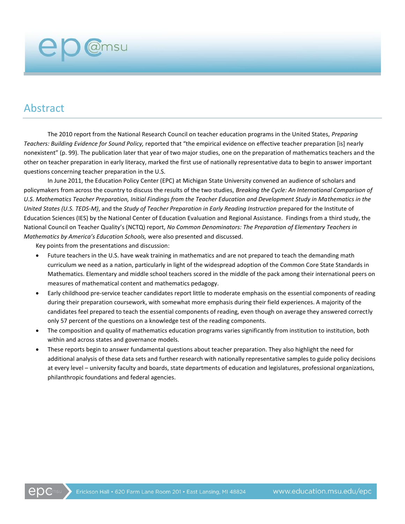# Abstract

**ep** @msu

The 2010 report from the National Research Council on teacher education programs in the United States, *Preparing Teachers: Building Evidence for Sound Policy,* reported that "the empirical evidence on effective teacher preparation [is] nearly nonexistent" (p. 99). The publication later that year of two major studies, one on the preparation of mathematics teachers and the other on teacher preparation in early literacy, marked the first use of nationally representative data to begin to answer important questions concerning teacher preparation in the U.S.

In June 2011, the Education Policy Center (EPC) at Michigan State University convened an audience of scholars and policymakers from across the country to discuss the results of the two studies, *Breaking the Cycle: An International Comparison of U.S. Mathematics Teacher Preparation, Initial Findings from the Teacher Education and Development Study in Mathematics in the United States (U.S. TEDS-M)*, and the *Study of Teacher Preparation in Early Reading Instruction* prepared for the Institute of Education Sciences (IES) by the National Center of Education Evaluation and Regional Assistance. Findings from a third study, the National Council on Teacher Quality's (NCTQ) report, *No Common Denominators: The Preparation of Elementary Teachers in Mathematics by America's Education Schools,* were also presented and discussed.

Key points from the presentations and discussion:

- Future teachers in the U.S. have weak training in mathematics and are not prepared to teach the demanding math curriculum we need as a nation, particularly in light of the widespread adoption of the Common Core State Standards in Mathematics. Elementary and middle school teachers scored in the middle of the pack among their international peers on measures of mathematical content and mathematics pedagogy.
- Early childhood pre-service teacher candidates report little to moderate emphasis on the essential components of reading during their preparation coursework, with somewhat more emphasis during their field experiences. A majority of the candidates feel prepared to teach the essential components of reading, even though on average they answered correctly only 57 percent of the questions on a knowledge test of the reading components.
- The composition and quality of mathematics education programs varies significantly from institution to institution, both within and across states and governance models.
- These reports begin to answer fundamental questions about teacher preparation. They also highlight the need for additional analysis of these data sets and further research with nationally representative samples to guide policy decisions at every level – university faculty and boards, state departments of education and legislatures, professional organizations, philanthropic foundations and federal agencies.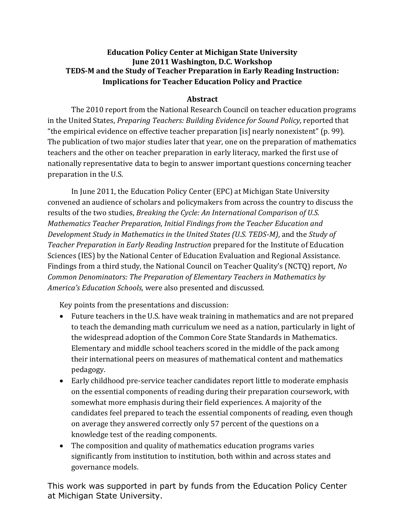# **Education Policy Center at Michigan State University June 2011 Washington, D.C. Workshop TEDS-M and the Study of Teacher Preparation in Early Reading Instruction: Implications for Teacher Education Policy and Practice**

# **Abstract**

The 2010 report from the National Research Council on teacher education programs in the United States, *Preparing Teachers: Building Evidence for Sound Policy,* reported that "the empirical evidence on effective teacher preparation [is] nearly nonexistent" (p. 99). The publication of two major studies later that year, one on the preparation of mathematics teachers and the other on teacher preparation in early literacy, marked the first use of nationally representative data to begin to answer important questions concerning teacher preparation in the U.S.

In June 2011, the Education Policy Center (EPC) at Michigan State University convened an audience of scholars and policymakers from across the country to discuss the results of the two studies, *Breaking the Cycle: An International Comparison of U.S. Mathematics Teacher Preparation, Initial Findings from the Teacher Education and Development Study in Mathematics in the United States (U.S. TEDS-M)*, and the *Study of Teacher Preparation in Early Reading Instruction* prepared for the Institute of Education Sciences (IES) by the National Center of Education Evaluation and Regional Assistance. Findings from a third study, the National Council on Teacher Quality's (NCTQ) report, *No Common Denominators: The Preparation of Elementary Teachers in Mathematics by America's Education Schools,* were also presented and discussed.

Key points from the presentations and discussion:

- Future teachers in the U.S. have weak training in mathematics and are not prepared to teach the demanding math curriculum we need as a nation, particularly in light of the widespread adoption of the Common Core State Standards in Mathematics. Elementary and middle school teachers scored in the middle of the pack among their international peers on measures of mathematical content and mathematics pedagogy.
- Early childhood pre-service teacher candidates report little to moderate emphasis on the essential components of reading during their preparation coursework, with somewhat more emphasis during their field experiences. A majority of the candidates feel prepared to teach the essential components of reading, even though on average they answered correctly only 57 percent of the questions on a knowledge test of the reading components.
- The composition and quality of mathematics education programs varies significantly from institution to institution, both within and across states and governance models.

This work was supported in part by funds from the Education Policy Center at Michigan State University.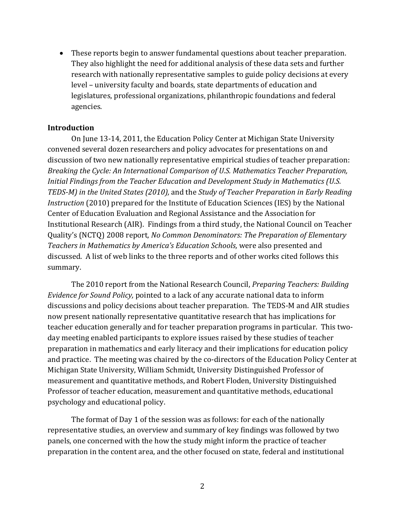These reports begin to answer fundamental questions about teacher preparation. They also highlight the need for additional analysis of these data sets and further research with nationally representative samples to guide policy decisions at every level – university faculty and boards, state departments of education and legislatures, professional organizations, philanthropic foundations and federal agencies.

#### **Introduction**

On June 13-14, 2011, the Education Policy Center at Michigan State University convened several dozen researchers and policy advocates for presentations on and discussion of two new nationally representative empirical studies of teacher preparation: *Breaking the Cycle: An International Comparison of U.S. Mathematics Teacher Preparation, Initial Findings from the Teacher Education and Development Study in Mathematics (U.S. TEDS-M) in the United States (2010),* and the *Study of Teacher Preparation in Early Reading Instruction* (2010) prepared for the Institute of Education Sciences (IES) by the National Center of Education Evaluation and Regional Assistance and the Association for Institutional Research (AIR). Findings from a third study, the National Council on Teacher Quality's (NCTQ) 2008 report, *No Common Denominators: The Preparation of Elementary Teachers in Mathematics by America's Education Schools,* were also presented and discussed. A list of web links to the three reports and of other works cited follows this summary.

The 2010 report from the National Research Council, *Preparing Teachers: Building Evidence for Sound Policy,* pointed to a lack of any accurate national data to inform discussions and policy decisions about teacher preparation. The TEDS-M and AIR studies now present nationally representative quantitative research that has implications for teacher education generally and for teacher preparation programs in particular. This twoday meeting enabled participants to explore issues raised by these studies of teacher preparation in mathematics and early literacy and their implications for education policy and practice. The meeting was chaired by the co-directors of the Education Policy Center at Michigan State University, William Schmidt, University Distinguished Professor of measurement and quantitative methods, and Robert Floden, University Distinguished Professor of teacher education, measurement and quantitative methods, educational psychology and educational policy.

The format of Day 1 of the session was as follows: for each of the nationally representative studies, an overview and summary of key findings was followed by two panels, one concerned with the how the study might inform the practice of teacher preparation in the content area, and the other focused on state, federal and institutional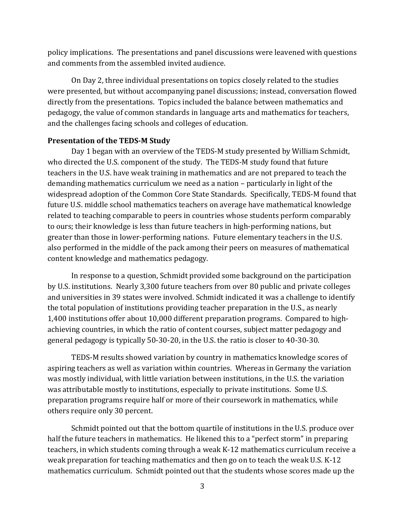policy implications. The presentations and panel discussions were leavened with questions and comments from the assembled invited audience.

On Day 2, three individual presentations on topics closely related to the studies were presented, but without accompanying panel discussions; instead, conversation flowed directly from the presentations. Topics included the balance between mathematics and pedagogy, the value of common standards in language arts and mathematics for teachers, and the challenges facing schools and colleges of education.

#### **Presentation of the TEDS-M Study**

Day 1 began with an overview of the TEDS-M study presented by William Schmidt, who directed the U.S. component of the study. The TEDS-M study found that future teachers in the U.S. have weak training in mathematics and are not prepared to teach the demanding mathematics curriculum we need as a nation – particularly in light of the widespread adoption of the Common Core State Standards. Specifically, TEDS-M found that future U.S. middle school mathematics teachers on average have mathematical knowledge related to teaching comparable to peers in countries whose students perform comparably to ours; their knowledge is less than future teachers in high-performing nations, but greater than those in lower-performing nations. Future elementary teachers in the U.S. also performed in the middle of the pack among their peers on measures of mathematical content knowledge and mathematics pedagogy.

In response to a question, Schmidt provided some background on the participation by U.S. institutions. Nearly 3,300 future teachers from over 80 public and private colleges and universities in 39 states were involved. Schmidt indicated it was a challenge to identify the total population of institutions providing teacher preparation in the U.S., as nearly 1,400 institutions offer about 10,000 different preparation programs. Compared to highachieving countries, in which the ratio of content courses, subject matter pedagogy and general pedagogy is typically 50-30-20, in the U.S. the ratio is closer to 40-30-30.

TEDS-M results showed variation by country in mathematics knowledge scores of aspiring teachers as well as variation within countries. Whereas in Germany the variation was mostly individual, with little variation between institutions, in the U.S. the variation was attributable mostly to institutions, especially to private institutions. Some U.S. preparation programs require half or more of their coursework in mathematics, while others require only 30 percent.

Schmidt pointed out that the bottom quartile of institutions in the U.S. produce over half the future teachers in mathematics. He likened this to a "perfect storm" in preparing teachers, in which students coming through a weak K-12 mathematics curriculum receive a weak preparation for teaching mathematics and then go on to teach the weak U.S. K-12 mathematics curriculum. Schmidt pointed out that the students whose scores made up the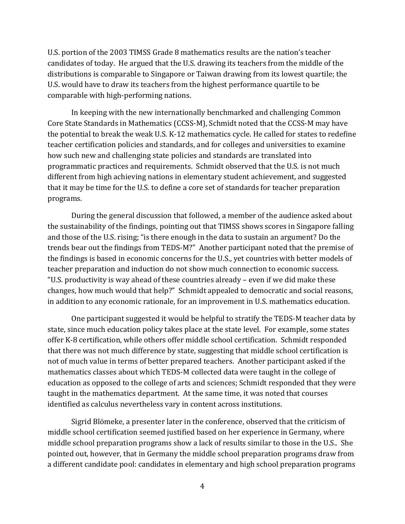U.S. portion of the 2003 TIMSS Grade 8 mathematics results are the nation's teacher candidates of today. He argued that the U.S. drawing its teachers from the middle of the distributions is comparable to Singapore or Taiwan drawing from its lowest quartile; the U.S. would have to draw its teachers from the highest performance quartile to be comparable with high-performing nations.

In keeping with the new internationally benchmarked and challenging Common Core State Standards in Mathematics (CCSS-M), Schmidt noted that the CCSS-M may have the potential to break the weak U.S. K-12 mathematics cycle. He called for states to redefine teacher certification policies and standards, and for colleges and universities to examine how such new and challenging state policies and standards are translated into programmatic practices and requirements. Schmidt observed that the U.S. is not much different from high achieving nations in elementary student achievement, and suggested that it may be time for the U.S. to define a core set of standards for teacher preparation programs.

During the general discussion that followed, a member of the audience asked about the sustainability of the findings, pointing out that TIMSS shows scores in Singapore falling and those of the U.S. rising; "is there enough in the data to sustain an argument? Do the trends bear out the findings from TEDS-M?" Another participant noted that the premise of the findings is based in economic concerns for the U.S., yet countries with better models of teacher preparation and induction do not show much connection to economic success. "U.S. productivity is way ahead of these countries already – even if we did make these changes, how much would that help?" Schmidt appealed to democratic and social reasons, in addition to any economic rationale, for an improvement in U.S. mathematics education.

One participant suggested it would be helpful to stratify the TEDS-M teacher data by state, since much education policy takes place at the state level. For example, some states offer K-8 certification, while others offer middle school certification. Schmidt responded that there was not much difference by state, suggesting that middle school certification is not of much value in terms of better prepared teachers. Another participant asked if the mathematics classes about which TEDS-M collected data were taught in the college of education as opposed to the college of arts and sciences; Schmidt responded that they were taught in the mathematics department. At the same time, it was noted that courses identified as calculus nevertheless vary in content across institutions.

Sigrid Blömeke, a presenter later in the conference, observed that the criticism of middle school certification seemed justified based on her experience in Germany, where middle school preparation programs show a lack of results similar to those in the U.S.. She pointed out, however, that in Germany the middle school preparation programs draw from a different candidate pool: candidates in elementary and high school preparation programs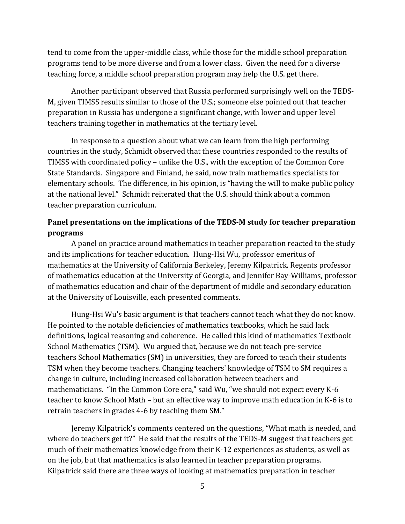tend to come from the upper-middle class, while those for the middle school preparation programs tend to be more diverse and from a lower class. Given the need for a diverse teaching force, a middle school preparation program may help the U.S. get there.

Another participant observed that Russia performed surprisingly well on the TEDS-M, given TIMSS results similar to those of the U.S.; someone else pointed out that teacher preparation in Russia has undergone a significant change, with lower and upper level teachers training together in mathematics at the tertiary level.

In response to a question about what we can learn from the high performing countries in the study, Schmidt observed that these countries responded to the results of TIMSS with coordinated policy – unlike the U.S., with the exception of the Common Core State Standards. Singapore and Finland, he said, now train mathematics specialists for elementary schools. The difference, in his opinion, is "having the will to make public policy at the national level." Schmidt reiterated that the U.S. should think about a common teacher preparation curriculum.

# **Panel presentations on the implications of the TEDS-M study for teacher preparation programs**

A panel on practice around mathematics in teacher preparation reacted to the study and its implications for teacher education. Hung-Hsi Wu, professor emeritus of mathematics at the University of California Berkeley, Jeremy Kilpatrick, Regents professor of mathematics education at the University of Georgia, and Jennifer Bay-Williams, professor of mathematics education and chair of the department of middle and secondary education at the University of Louisville, each presented comments.

Hung-Hsi Wu's basic argument is that teachers cannot teach what they do not know. He pointed to the notable deficiencies of mathematics textbooks, which he said lack definitions, logical reasoning and coherence. He called this kind of mathematics Textbook School Mathematics (TSM). Wu argued that, because we do not teach pre-service teachers School Mathematics (SM) in universities, they are forced to teach their students TSM when they become teachers. Changing teachers' knowledge of TSM to SM requires a change in culture, including increased collaboration between teachers and mathematicians. "In the Common Core era," said Wu, "we should not expect every K-6 teacher to know School Math – but an effective way to improve math education in K-6 is to retrain teachers in grades 4-6 by teaching them SM."

Jeremy Kilpatrick's comments centered on the questions, "What math is needed, and where do teachers get it?" He said that the results of the TEDS-M suggest that teachers get much of their mathematics knowledge from their K-12 experiences as students, as well as on the job, but that mathematics is also learned in teacher preparation programs. Kilpatrick said there are three ways of looking at mathematics preparation in teacher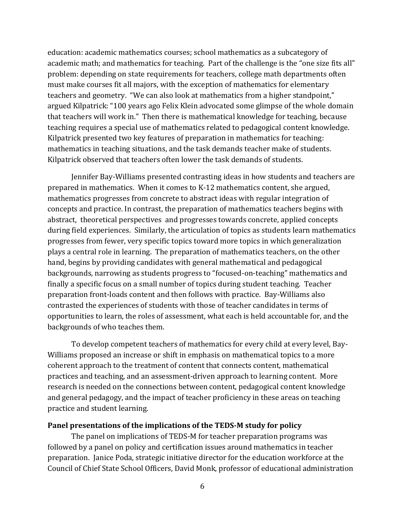education: academic mathematics courses; school mathematics as a subcategory of academic math; and mathematics for teaching. Part of the challenge is the "one size fits all" problem: depending on state requirements for teachers, college math departments often must make courses fit all majors, with the exception of mathematics for elementary teachers and geometry. "We can also look at mathematics from a higher standpoint," argued Kilpatrick: "100 years ago Felix Klein advocated some glimpse of the whole domain that teachers will work in." Then there is mathematical knowledge for teaching, because teaching requires a special use of mathematics related to pedagogical content knowledge. Kilpatrick presented two key features of preparation in mathematics for teaching: mathematics in teaching situations, and the task demands teacher make of students. Kilpatrick observed that teachers often lower the task demands of students.

Jennifer Bay-Williams presented contrasting ideas in how students and teachers are prepared in mathematics. When it comes to K-12 mathematics content, she argued, mathematics progresses from concrete to abstract ideas with regular integration of concepts and practice. In contrast, the preparation of mathematics teachers begins with abstract, theoretical perspectives and progresses towards concrete, applied concepts during field experiences. Similarly, the articulation of topics as students learn mathematics progresses from fewer, very specific topics toward more topics in which generalization plays a central role in learning. The preparation of mathematics teachers, on the other hand, begins by providing candidates with general mathematical and pedagogical backgrounds, narrowing as students progress to "focused-on-teaching" mathematics and finally a specific focus on a small number of topics during student teaching. Teacher preparation front-loads content and then follows with practice. Bay-Williams also contrasted the experiences of students with those of teacher candidates in terms of opportunities to learn, the roles of assessment, what each is held accountable for, and the backgrounds of who teaches them.

To develop competent teachers of mathematics for every child at every level, Bay-Williams proposed an increase or shift in emphasis on mathematical topics to a more coherent approach to the treatment of content that connects content, mathematical practices and teaching, and an assessment-driven approach to learning content. More research is needed on the connections between content, pedagogical content knowledge and general pedagogy, and the impact of teacher proficiency in these areas on teaching practice and student learning.

#### **Panel presentations of the implications of the TEDS-M study for policy**

The panel on implications of TEDS-M for teacher preparation programs was followed by a panel on policy and certification issues around mathematics in teacher preparation. Janice Poda, strategic initiative director for the education workforce at the Council of Chief State School Officers, David Monk, professor of educational administration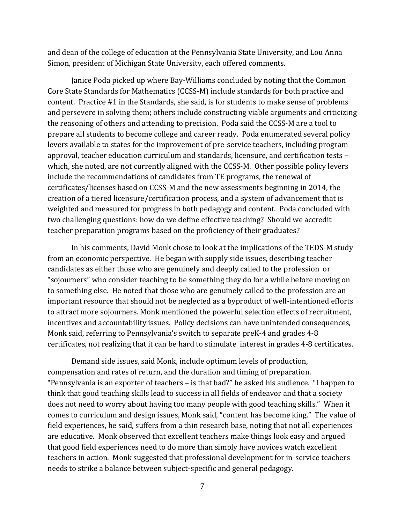and dean of the college of education at the Pennsylvania State University, and Lou Anna Simon, president of Michigan State University, each offered comments.

Janice Poda picked up where Bay-Williams concluded by noting that the Common Core State Standards for Mathematics (CCSS-M) include standards for both practice and content. Practice #1 in the Standards, she said, is for students to make sense of problems and persevere in solving them; others include constructing viable arguments and criticizing the reasoning of others and attending to precision. Poda said the CCSS-M are a tool to prepare all students to become college and career ready. Poda enumerated several policy levers available to states for the improvement of pre-service teachers, including program approval, teacher education curriculum and standards, licensure, and certification tests – which, she noted, are not currently aligned with the CCSS-M. Other possible policy levers include the recommendations of candidates from TE programs, the renewal of certificates/licenses based on CCSS-M and the new assessments beginning in 2014, the creation of a tiered licensure/certification process, and a system of advancement that is weighted and measured for progress in both pedagogy and content. Poda concluded with two challenging questions: how do we define effective teaching? Should we accredit teacher preparation programs based on the proficiency of their graduates?

In his comments, David Monk chose to look at the implications of the TEDS-M study from an economic perspective. He began with supply side issues, describing teacher candidates as either those who are genuinely and deeply called to the profession or "sojourners" who consider teaching to be something they do for a while before moving on to something else. He noted that those who are genuinely called to the profession are an important resource that should not be neglected as a byproduct of well-intentioned efforts to attract more sojourners. Monk mentioned the powerful selection effects of recruitment, incentives and accountability issues. Policy decisions can have unintended consequences, Monk said, referring to Pennsylvania's switch to separate preK-4 and grades 4-8 certificates, not realizing that it can be hard to stimulate interest in grades 4-8 certificates.

Demand side issues, said Monk, include optimum levels of production, compensation and rates of return, and the duration and timing of preparation. "Pennsylvania is an exporter of teachers – is that bad?" he asked his audience. "I happen to think that good teaching skills lead to success in all fields of endeavor and that a society does not need to worry about having too many people with good teaching skills." When it comes to curriculum and design issues, Monk said, "content has become king." The value of field experiences, he said, suffers from a thin research base, noting that not all experiences are educative. Monk observed that excellent teachers make things look easy and argued that good field experiences need to do more than simply have novices watch excellent teachers in action. Monk suggested that professional development for in-service teachers needs to strike a balance between subject-specific and general pedagogy.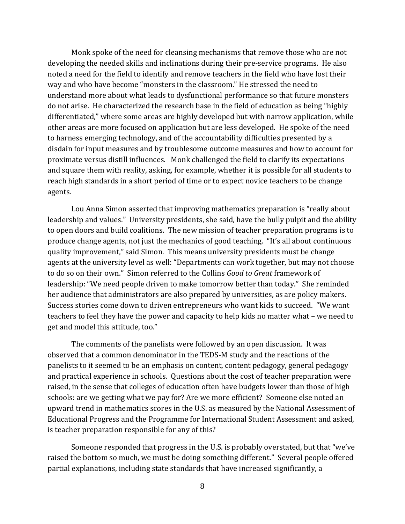Monk spoke of the need for cleansing mechanisms that remove those who are not developing the needed skills and inclinations during their pre-service programs. He also noted a need for the field to identify and remove teachers in the field who have lost their way and who have become "monsters in the classroom." He stressed the need to understand more about what leads to dysfunctional performance so that future monsters do not arise. He characterized the research base in the field of education as being "highly differentiated," where some areas are highly developed but with narrow application, while other areas are more focused on application but are less developed. He spoke of the need to harness emerging technology, and of the accountability difficulties presented by a disdain for input measures and by troublesome outcome measures and how to account for proximate versus distill influences. Monk challenged the field to clarify its expectations and square them with reality, asking, for example, whether it is possible for all students to reach high standards in a short period of time or to expect novice teachers to be change agents.

Lou Anna Simon asserted that improving mathematics preparation is "really about leadership and values." University presidents, she said, have the bully pulpit and the ability to open doors and build coalitions. The new mission of teacher preparation programs is to produce change agents, not just the mechanics of good teaching. "It's all about continuous quality improvement," said Simon. This means university presidents must be change agents at the university level as well: "Departments can work together, but may not choose to do so on their own." Simon referred to the Collins *Good to Great* framework of leadership: "We need people driven to make tomorrow better than today." She reminded her audience that administrators are also prepared by universities, as are policy makers. Success stories come down to driven entrepreneurs who want kids to succeed. "We want teachers to feel they have the power and capacity to help kids no matter what – we need to get and model this attitude, too."

The comments of the panelists were followed by an open discussion. It was observed that a common denominator in the TEDS-M study and the reactions of the panelists to it seemed to be an emphasis on content, content pedagogy, general pedagogy and practical experience in schools. Questions about the cost of teacher preparation were raised, in the sense that colleges of education often have budgets lower than those of high schools: are we getting what we pay for? Are we more efficient? Someone else noted an upward trend in mathematics scores in the U.S. as measured by the National Assessment of Educational Progress and the Programme for International Student Assessment and asked, is teacher preparation responsible for any of this?

Someone responded that progress in the U.S. is probably overstated, but that "we've raised the bottom so much, we must be doing something different." Several people offered partial explanations, including state standards that have increased significantly, a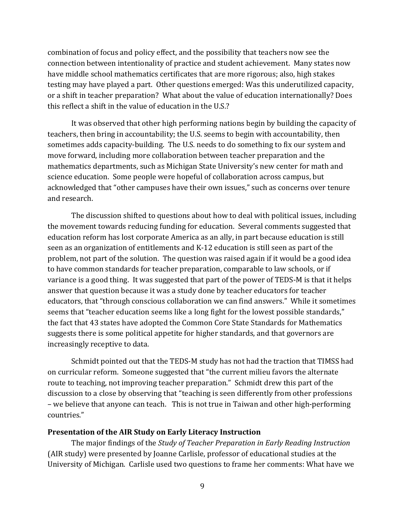combination of focus and policy effect, and the possibility that teachers now see the connection between intentionality of practice and student achievement. Many states now have middle school mathematics certificates that are more rigorous; also, high stakes testing may have played a part. Other questions emerged: Was this underutilized capacity, or a shift in teacher preparation? What about the value of education internationally? Does this reflect a shift in the value of education in the U.S.?

It was observed that other high performing nations begin by building the capacity of teachers, then bring in accountability; the U.S. seems to begin with accountability, then sometimes adds capacity-building. The U.S. needs to do something to fix our system and move forward, including more collaboration between teacher preparation and the mathematics departments, such as Michigan State University's new center for math and science education. Some people were hopeful of collaboration across campus, but acknowledged that "other campuses have their own issues," such as concerns over tenure and research.

The discussion shifted to questions about how to deal with political issues, including the movement towards reducing funding for education. Several comments suggested that education reform has lost corporate America as an ally, in part because education is still seen as an organization of entitlements and K-12 education is still seen as part of the problem, not part of the solution. The question was raised again if it would be a good idea to have common standards for teacher preparation, comparable to law schools, or if variance is a good thing. It was suggested that part of the power of TEDS-M is that it helps answer that question because it was a study done by teacher educators for teacher educators, that "through conscious collaboration we can find answers." While it sometimes seems that "teacher education seems like a long fight for the lowest possible standards," the fact that 43 states have adopted the Common Core State Standards for Mathematics suggests there is some political appetite for higher standards, and that governors are increasingly receptive to data.

Schmidt pointed out that the TEDS-M study has not had the traction that TIMSS had on curricular reform. Someone suggested that "the current milieu favors the alternate route to teaching, not improving teacher preparation." Schmidt drew this part of the discussion to a close by observing that "teaching is seen differently from other professions – we believe that anyone can teach. This is not true in Taiwan and other high-performing countries."

#### **Presentation of the AIR Study on Early Literacy Instruction**

The major findings of the *Study of Teacher Preparation in Early Reading Instruction* (AIR study) were presented by Joanne Carlisle, professor of educational studies at the University of Michigan. Carlisle used two questions to frame her comments: What have we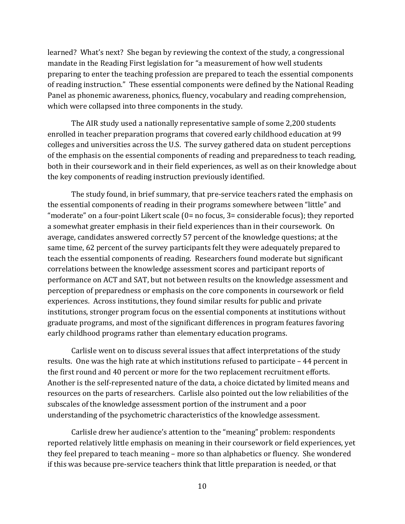learned? What's next? She began by reviewing the context of the study, a congressional mandate in the Reading First legislation for "a measurement of how well students preparing to enter the teaching profession are prepared to teach the essential components of reading instruction." These essential components were defined by the National Reading Panel as phonemic awareness, phonics, fluency, vocabulary and reading comprehension, which were collapsed into three components in the study.

The AIR study used a nationally representative sample of some 2,200 students enrolled in teacher preparation programs that covered early childhood education at 99 colleges and universities across the U.S. The survey gathered data on student perceptions of the emphasis on the essential components of reading and preparedness to teach reading, both in their coursework and in their field experiences, as well as on their knowledge about the key components of reading instruction previously identified.

The study found, in brief summary, that pre-service teachers rated the emphasis on the essential components of reading in their programs somewhere between "little" and "moderate" on a four-point Likert scale (0= no focus, 3= considerable focus); they reported a somewhat greater emphasis in their field experiences than in their coursework. On average, candidates answered correctly 57 percent of the knowledge questions; at the same time, 62 percent of the survey participants felt they were adequately prepared to teach the essential components of reading. Researchers found moderate but significant correlations between the knowledge assessment scores and participant reports of performance on ACT and SAT, but not between results on the knowledge assessment and perception of preparedness or emphasis on the core components in coursework or field experiences. Across institutions, they found similar results for public and private institutions, stronger program focus on the essential components at institutions without graduate programs, and most of the significant differences in program features favoring early childhood programs rather than elementary education programs.

Carlisle went on to discuss several issues that affect interpretations of the study results. One was the high rate at which institutions refused to participate – 44 percent in the first round and 40 percent or more for the two replacement recruitment efforts. Another is the self-represented nature of the data, a choice dictated by limited means and resources on the parts of researchers. Carlisle also pointed out the low reliabilities of the subscales of the knowledge assessment portion of the instrument and a poor understanding of the psychometric characteristics of the knowledge assessment.

Carlisle drew her audience's attention to the "meaning" problem: respondents reported relatively little emphasis on meaning in their coursework or field experiences, yet they feel prepared to teach meaning – more so than alphabetics or fluency. She wondered if this was because pre-service teachers think that little preparation is needed, or that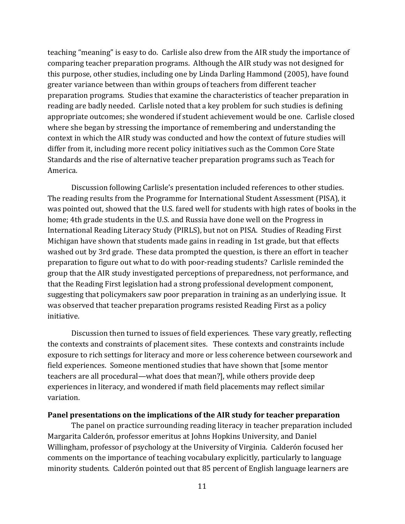teaching "meaning" is easy to do. Carlisle also drew from the AIR study the importance of comparing teacher preparation programs. Although the AIR study was not designed for this purpose, other studies, including one by Linda Darling Hammond (2005), have found greater variance between than within groups of teachers from different teacher preparation programs. Studies that examine the characteristics of teacher preparation in reading are badly needed. Carlisle noted that a key problem for such studies is defining appropriate outcomes; she wondered if student achievement would be one. Carlisle closed where she began by stressing the importance of remembering and understanding the context in which the AIR study was conducted and how the context of future studies will differ from it, including more recent policy initiatives such as the Common Core State Standards and the rise of alternative teacher preparation programs such as Teach for America.

Discussion following Carlisle's presentation included references to other studies. The reading results from the Programme for International Student Assessment (PISA), it was pointed out, showed that the U.S. fared well for students with high rates of books in the home; 4th grade students in the U.S. and Russia have done well on the Progress in International Reading Literacy Study (PIRLS), but not on PISA. Studies of Reading First Michigan have shown that students made gains in reading in 1st grade, but that effects washed out by 3rd grade. These data prompted the question, is there an effort in teacher preparation to figure out what to do with poor-reading students? Carlisle reminded the group that the AIR study investigated perceptions of preparedness, not performance, and that the Reading First legislation had a strong professional development component, suggesting that policymakers saw poor preparation in training as an underlying issue. It was observed that teacher preparation programs resisted Reading First as a policy initiative.

Discussion then turned to issues of field experiences. These vary greatly, reflecting the contexts and constraints of placement sites. These contexts and constraints include exposure to rich settings for literacy and more or less coherence between coursework and field experiences. Someone mentioned studies that have shown that [some mentor teachers are all procedural—what does that mean?], while others provide deep experiences in literacy, and wondered if math field placements may reflect similar variation.

#### **Panel presentations on the implications of the AIR study for teacher preparation**

The panel on practice surrounding reading literacy in teacher preparation included Margarita Calderón, professor emeritus at Johns Hopkins University, and Daniel Willingham, professor of psychology at the University of Virginia. Calderón focused her comments on the importance of teaching vocabulary explicitly, particularly to language minority students. Calderón pointed out that 85 percent of English language learners are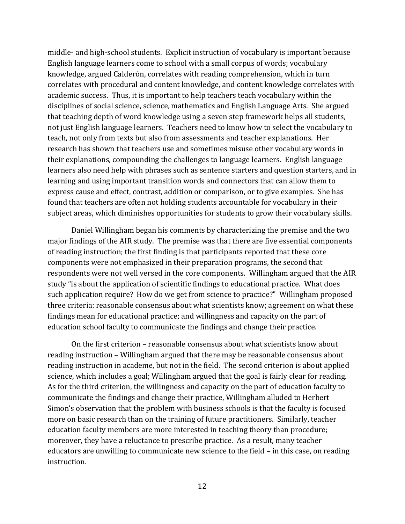middle- and high-school students. Explicit instruction of vocabulary is important because English language learners come to school with a small corpus of words; vocabulary knowledge, argued Calderón, correlates with reading comprehension, which in turn correlates with procedural and content knowledge, and content knowledge correlates with academic success. Thus, it is important to help teachers teach vocabulary within the disciplines of social science, science, mathematics and English Language Arts. She argued that teaching depth of word knowledge using a seven step framework helps all students, not just English language learners. Teachers need to know how to select the vocabulary to teach, not only from texts but also from assessments and teacher explanations. Her research has shown that teachers use and sometimes misuse other vocabulary words in their explanations, compounding the challenges to language learners. English language learners also need help with phrases such as sentence starters and question starters, and in learning and using important transition words and connectors that can allow them to express cause and effect, contrast, addition or comparison, or to give examples. She has found that teachers are often not holding students accountable for vocabulary in their subject areas, which diminishes opportunities for students to grow their vocabulary skills.

Daniel Willingham began his comments by characterizing the premise and the two major findings of the AIR study. The premise was that there are five essential components of reading instruction; the first finding is that participants reported that these core components were not emphasized in their preparation programs, the second that respondents were not well versed in the core components. Willingham argued that the AIR study "is about the application of scientific findings to educational practice. What does such application require? How do we get from science to practice?" Willingham proposed three criteria: reasonable consensus about what scientists know; agreement on what these findings mean for educational practice; and willingness and capacity on the part of education school faculty to communicate the findings and change their practice.

On the first criterion – reasonable consensus about what scientists know about reading instruction – Willingham argued that there may be reasonable consensus about reading instruction in academe, but not in the field. The second criterion is about applied science, which includes a goal; Willingham argued that the goal is fairly clear for reading. As for the third criterion, the willingness and capacity on the part of education faculty to communicate the findings and change their practice, Willingham alluded to Herbert Simon's observation that the problem with business schools is that the faculty is focused more on basic research than on the training of future practitioners. Similarly, teacher education faculty members are more interested in teaching theory than procedure; moreover, they have a reluctance to prescribe practice. As a result, many teacher educators are unwilling to communicate new science to the field – in this case, on reading instruction.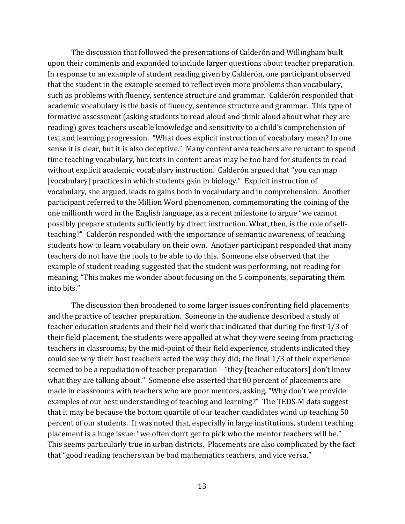The discussion that followed the presentations of Calderón and Willingham built upon their comments and expanded to include larger questions about teacher preparation. In response to an example of student reading given by Calderón, one participant observed that the student in the example seemed to reflect even more problems than vocabulary, such as problems with fluency, sentence structure and grammar. Calderón responded that academic vocabulary is the basis of fluency, sentence structure and grammar. This type of formative assessment (asking students to read aloud and think aloud about what they are reading) gives teachers useable knowledge and sensitivity to a child's comprehension of text and learning progression. "What does explicit instruction of vocabulary mean? In one sense it is clear, but it is also deceptive." Many content area teachers are reluctant to spend time teaching vocabulary, but texts in content areas may be too hard for students to read without explicit academic vocabulary instruction. Calderón argued that "you can map [vocabulary] practices in which students gain in biology." Explicit instruction of vocabulary, she argued, leads to gains both in vocabulary and in comprehension. Another participant referred to the Million Word phenomenon, commemorating the coining of the one millionth word in the English language, as a recent milestone to argue "we cannot possibly prepare students sufficiently by direct instruction. What, then, is the role of selfteaching?" Calderón responded with the importance of semantic awareness, of teaching students how to learn vocabulary on their own. Another participant responded that many teachers do not have the tools to be able to do this. Someone else observed that the example of student reading suggested that the student was performing, not reading for meaning; "This makes me wonder about focusing on the 5 components, separating them into bits."

The discussion then broadened to some larger issues confronting field placements and the practice of teacher preparation. Someone in the audience described a study of teacher education students and their field work that indicated that during the first 1/3 of their field placement, the students were appalled at what they were seeing from practicing teachers in classrooms; by the mid-point of their field experience, students indicated they could see why their host teachers acted the way they did; the final 1/3 of their experience seemed to be a repudiation of teacher preparation – "they [teacher educators] don't know what they are talking about." Someone else asserted that 80 percent of placements are made in classrooms with teachers who are poor mentors, asking, "Why don't we provide examples of our best understanding of teaching and learning?" The TEDS-M data suggest that it may be because the bottom quartile of our teacher candidates wind up teaching 50 percent of our students. It was noted that, especially in large institutions, student teaching placement is a huge issue: "we often don't get to pick who the mentor teachers will be." This seems particularly true in urban districts. Placements are also complicated by the fact that "good reading teachers can be bad mathematics teachers, and vice versa."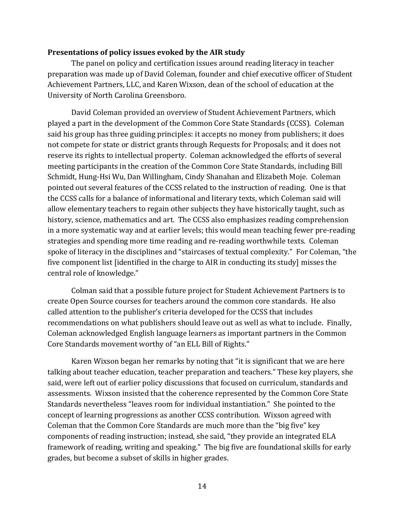#### **Presentations of policy issues evoked by the AIR study**

The panel on policy and certification issues around reading literacy in teacher preparation was made up of David Coleman, founder and chief executive officer of Student Achievement Partners, LLC, and Karen Wixson, dean of the school of education at the University of North Carolina Greensboro.

David Coleman provided an overview of Student Achievement Partners, which played a part in the development of the Common Core State Standards (CCSS). Coleman said his group has three guiding principles: it accepts no money from publishers; it does not compete for state or district grants through Requests for Proposals; and it does not reserve its rights to intellectual property. Coleman acknowledged the efforts of several meeting participants in the creation of the Common Core State Standards, including Bill Schmidt, Hung-Hsi Wu, Dan Willingham, Cindy Shanahan and Elizabeth Moje. Coleman pointed out several features of the CCSS related to the instruction of reading. One is that the CCSS calls for a balance of informational and literary texts, which Coleman said will allow elementary teachers to regain other subjects they have historically taught, such as history, science, mathematics and art. The CCSS also emphasizes reading comprehension in a more systematic way and at earlier levels; this would mean teaching fewer pre-reading strategies and spending more time reading and re-reading worthwhile texts. Coleman spoke of literacy in the disciplines and "staircases of textual complexity." For Coleman, "the five component list [identified in the charge to AIR in conducting its study] misses the central role of knowledge."

Colman said that a possible future project for Student Achievement Partners is to create Open Source courses for teachers around the common core standards. He also called attention to the publisher's criteria developed for the CCSS that includes recommendations on what publishers should leave out as well as what to include. Finally, Coleman acknowledged English language learners as important partners in the Common Core Standards movement worthy of "an ELL Bill of Rights."

Karen Wixson began her remarks by noting that "it is significant that we are here talking about teacher education, teacher preparation and teachers." These key players, she said, were left out of earlier policy discussions that focused on curriculum, standards and assessments. Wixson insisted that the coherence represented by the Common Core State Standards nevertheless "leaves room for individual instantiation." She pointed to the concept of learning progressions as another CCSS contribution. Wixson agreed with Coleman that the Common Core Standards are much more than the "big five" key components of reading instruction; instead, she said, "they provide an integrated ELA framework of reading, writing and speaking." The big five are foundational skills for early grades, but become a subset of skills in higher grades.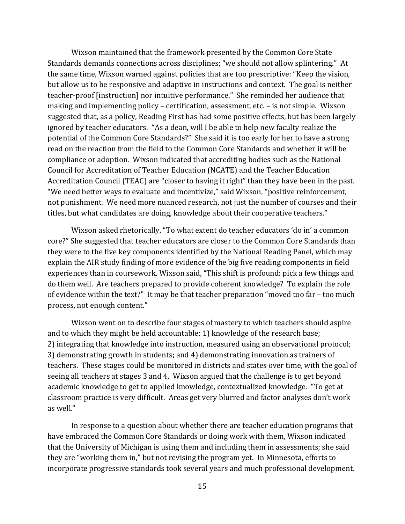Wixson maintained that the framework presented by the Common Core State Standards demands connections across disciplines; "we should not allow splintering." At the same time, Wixson warned against policies that are too prescriptive: "Keep the vision, but allow us to be responsive and adaptive in instructions and context. The goal is neither teacher-proof [instruction] nor intuitive performance." She reminded her audience that making and implementing policy – certification, assessment, etc. – is not simple. Wixson suggested that, as a policy, Reading First has had some positive effects, but has been largely ignored by teacher educators. "As a dean, will I be able to help new faculty realize the potential of the Common Core Standards?" She said it is too early for her to have a strong read on the reaction from the field to the Common Core Standards and whether it will be compliance or adoption. Wixson indicated that accrediting bodies such as the National Council for Accreditation of Teacher Education (NCATE) and the Teacher Education Accreditation Council (TEAC) are "closer to having it right" than they have been in the past. "We need better ways to evaluate and incentivize," said Wixson, "positive reinforcement, not punishment. We need more nuanced research, not just the number of courses and their titles, but what candidates are doing, knowledge about their cooperative teachers."

Wixson asked rhetorically, "To what extent do teacher educators 'do in' a common core?" She suggested that teacher educators are closer to the Common Core Standards than they were to the five key components identified by the National Reading Panel, which may explain the AIR study finding of more evidence of the big five reading components in field experiences than in coursework. Wixson said, "This shift is profound: pick a few things and do them well. Are teachers prepared to provide coherent knowledge? To explain the role of evidence within the text?" It may be that teacher preparation "moved too far – too much process, not enough content."

Wixson went on to describe four stages of mastery to which teachers should aspire and to which they might be held accountable: 1) knowledge of the research base; 2) integrating that knowledge into instruction, measured using an observational protocol; 3) demonstrating growth in students; and 4) demonstrating innovation as trainers of teachers. These stages could be monitored in districts and states over time, with the goal of seeing all teachers at stages 3 and 4. Wixson argued that the challenge is to get beyond academic knowledge to get to applied knowledge, contextualized knowledge. "To get at classroom practice is very difficult. Areas get very blurred and factor analyses don't work as well."

In response to a question about whether there are teacher education programs that have embraced the Common Core Standards or doing work with them, Wixson indicated that the University of Michigan is using them and including them in assessments; she said they are "working them in," but not revising the program yet. In Minnesota, efforts to incorporate progressive standards took several years and much professional development.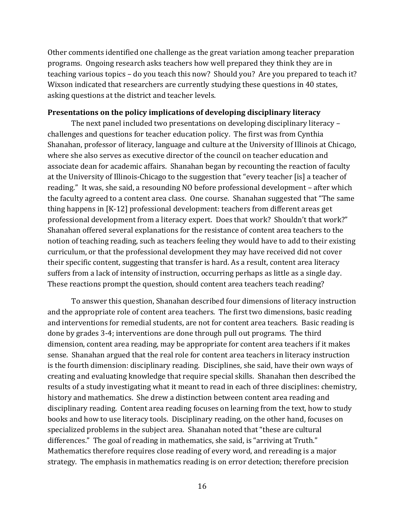Other comments identified one challenge as the great variation among teacher preparation programs. Ongoing research asks teachers how well prepared they think they are in teaching various topics – do you teach this now? Should you? Are you prepared to teach it? Wixson indicated that researchers are currently studying these questions in 40 states, asking questions at the district and teacher levels.

#### **Presentations on the policy implications of developing disciplinary literacy**

The next panel included two presentations on developing disciplinary literacy – challenges and questions for teacher education policy. The first was from Cynthia Shanahan, professor of literacy, language and culture at the University of Illinois at Chicago, where she also serves as executive director of the council on teacher education and associate dean for academic affairs. Shanahan began by recounting the reaction of faculty at the University of Illinois-Chicago to the suggestion that "every teacher [is] a teacher of reading." It was, she said, a resounding NO before professional development – after which the faculty agreed to a content area class. One course. Shanahan suggested that "The same thing happens in [K-12] professional development: teachers from different areas get professional development from a literacy expert. Does that work? Shouldn't that work?" Shanahan offered several explanations for the resistance of content area teachers to the notion of teaching reading, such as teachers feeling they would have to add to their existing curriculum, or that the professional development they may have received did not cover their specific content, suggesting that transfer is hard. As a result, content area literacy suffers from a lack of intensity of instruction, occurring perhaps as little as a single day. These reactions prompt the question, should content area teachers teach reading?

To answer this question, Shanahan described four dimensions of literacy instruction and the appropriate role of content area teachers. The first two dimensions, basic reading and interventions for remedial students, are not for content area teachers. Basic reading is done by grades 3-4; interventions are done through pull out programs. The third dimension, content area reading, may be appropriate for content area teachers if it makes sense. Shanahan argued that the real role for content area teachers in literacy instruction is the fourth dimension: disciplinary reading. Disciplines, she said, have their own ways of creating and evaluating knowledge that require special skills. Shanahan then described the results of a study investigating what it meant to read in each of three disciplines: chemistry, history and mathematics. She drew a distinction between content area reading and disciplinary reading. Content area reading focuses on learning from the text, how to study books and how to use literacy tools. Disciplinary reading, on the other hand, focuses on specialized problems in the subject area. Shanahan noted that "these are cultural differences." The goal of reading in mathematics, she said, is "arriving at Truth." Mathematics therefore requires close reading of every word, and rereading is a major strategy. The emphasis in mathematics reading is on error detection; therefore precision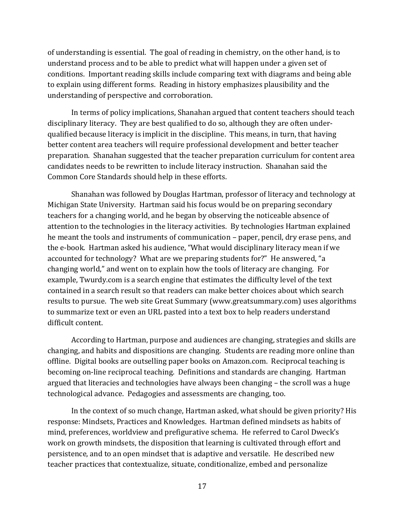of understanding is essential. The goal of reading in chemistry, on the other hand, is to understand process and to be able to predict what will happen under a given set of conditions. Important reading skills include comparing text with diagrams and being able to explain using different forms. Reading in history emphasizes plausibility and the understanding of perspective and corroboration.

In terms of policy implications, Shanahan argued that content teachers should teach disciplinary literacy. They are best qualified to do so, although they are often underqualified because literacy is implicit in the discipline. This means, in turn, that having better content area teachers will require professional development and better teacher preparation. Shanahan suggested that the teacher preparation curriculum for content area candidates needs to be rewritten to include literacy instruction. Shanahan said the Common Core Standards should help in these efforts.

Shanahan was followed by Douglas Hartman, professor of literacy and technology at Michigan State University. Hartman said his focus would be on preparing secondary teachers for a changing world, and he began by observing the noticeable absence of attention to the technologies in the literacy activities. By technologies Hartman explained he meant the tools and instruments of communication – paper, pencil, dry erase pens, and the e-book. Hartman asked his audience, "What would disciplinary literacy mean if we accounted for technology? What are we preparing students for?" He answered, "a changing world," and went on to explain how the tools of literacy are changing. For example, Twurdy.com is a search engine that estimates the difficulty level of the text contained in a search result so that readers can make better choices about which search results to pursue. The web site Great Summary (www.greatsummary.com) uses algorithms to summarize text or even an URL pasted into a text box to help readers understand difficult content.

According to Hartman, purpose and audiences are changing, strategies and skills are changing, and habits and dispositions are changing. Students are reading more online than offline. Digital books are outselling paper books on Amazon.com. Reciprocal teaching is becoming on-line reciprocal teaching. Definitions and standards are changing. Hartman argued that literacies and technologies have always been changing – the scroll was a huge technological advance. Pedagogies and assessments are changing, too.

In the context of so much change, Hartman asked, what should be given priority? His response: Mindsets, Practices and Knowledges. Hartman defined mindsets as habits of mind, preferences, worldview and prefigurative schema. He referred to Carol Dweck's work on growth mindsets, the disposition that learning is cultivated through effort and persistence, and to an open mindset that is adaptive and versatile. He described new teacher practices that contextualize, situate, conditionalize, embed and personalize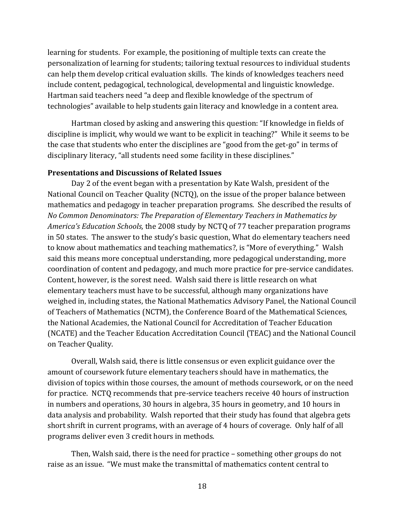learning for students. For example, the positioning of multiple texts can create the personalization of learning for students; tailoring textual resources to individual students can help them develop critical evaluation skills. The kinds of knowledges teachers need include content, pedagogical, technological, developmental and linguistic knowledge. Hartman said teachers need "a deep and flexible knowledge of the spectrum of technologies" available to help students gain literacy and knowledge in a content area.

Hartman closed by asking and answering this question: "If knowledge in fields of discipline is implicit, why would we want to be explicit in teaching?" While it seems to be the case that students who enter the disciplines are "good from the get-go" in terms of disciplinary literacy, "all students need some facility in these disciplines."

### **Presentations and Discussions of Related Issues**

Day 2 of the event began with a presentation by Kate Walsh, president of the National Council on Teacher Quality (NCTQ), on the issue of the proper balance between mathematics and pedagogy in teacher preparation programs. She described the results of *No Common Denominators: The Preparation of Elementary Teachers in Mathematics by America's Education Schools,* the 2008 study by NCTQ of 77 teacher preparation programs in 50 states. The answer to the study's basic question, What do elementary teachers need to know about mathematics and teaching mathematics?, is "More of everything." Walsh said this means more conceptual understanding, more pedagogical understanding, more coordination of content and pedagogy, and much more practice for pre-service candidates. Content, however, is the sorest need. Walsh said there is little research on what elementary teachers must have to be successful, although many organizations have weighed in, including states, the National Mathematics Advisory Panel, the National Council of Teachers of Mathematics (NCTM), the Conference Board of the Mathematical Sciences, the National Academies, the National Council for Accreditation of Teacher Education (NCATE) and the Teacher Education Accreditation Council (TEAC) and the National Council on Teacher Quality.

Overall, Walsh said, there is little consensus or even explicit guidance over the amount of coursework future elementary teachers should have in mathematics, the division of topics within those courses, the amount of methods coursework, or on the need for practice. NCTQ recommends that pre-service teachers receive 40 hours of instruction in numbers and operations, 30 hours in algebra, 35 hours in geometry, and 10 hours in data analysis and probability. Walsh reported that their study has found that algebra gets short shrift in current programs, with an average of 4 hours of coverage. Only half of all programs deliver even 3 credit hours in methods.

Then, Walsh said, there is the need for practice – something other groups do not raise as an issue. "We must make the transmittal of mathematics content central to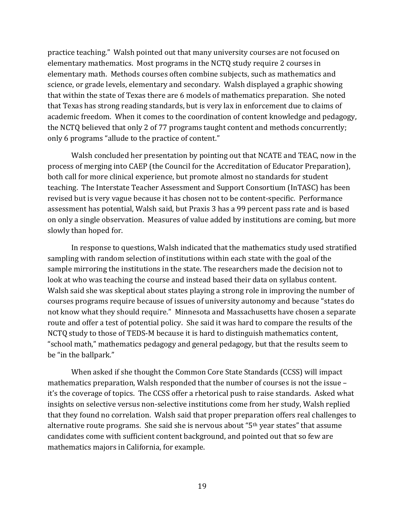practice teaching." Walsh pointed out that many university courses are not focused on elementary mathematics. Most programs in the NCTQ study require 2 courses in elementary math. Methods courses often combine subjects, such as mathematics and science, or grade levels, elementary and secondary. Walsh displayed a graphic showing that within the state of Texas there are 6 models of mathematics preparation. She noted that Texas has strong reading standards, but is very lax in enforcement due to claims of academic freedom. When it comes to the coordination of content knowledge and pedagogy, the NCTQ believed that only 2 of 77 programs taught content and methods concurrently; only 6 programs "allude to the practice of content."

Walsh concluded her presentation by pointing out that NCATE and TEAC, now in the process of merging into CAEP (the Council for the Accreditation of Educator Preparation), both call for more clinical experience, but promote almost no standards for student teaching. The Interstate Teacher Assessment and Support Consortium (InTASC) has been revised but is very vague because it has chosen not to be content-specific. Performance assessment has potential, Walsh said, but Praxis 3 has a 99 percent pass rate and is based on only a single observation. Measures of value added by institutions are coming, but more slowly than hoped for.

In response to questions, Walsh indicated that the mathematics study used stratified sampling with random selection of institutions within each state with the goal of the sample mirroring the institutions in the state. The researchers made the decision not to look at who was teaching the course and instead based their data on syllabus content. Walsh said she was skeptical about states playing a strong role in improving the number of courses programs require because of issues of university autonomy and because "states do not know what they should require." Minnesota and Massachusetts have chosen a separate route and offer a test of potential policy. She said it was hard to compare the results of the NCTQ study to those of TEDS-M because it is hard to distinguish mathematics content, "school math," mathematics pedagogy and general pedagogy, but that the results seem to be "in the ballpark."

When asked if she thought the Common Core State Standards (CCSS) will impact mathematics preparation, Walsh responded that the number of courses is not the issue – it's the coverage of topics. The CCSS offer a rhetorical push to raise standards. Asked what insights on selective versus non-selective institutions come from her study, Walsh replied that they found no correlation. Walsh said that proper preparation offers real challenges to alternative route programs. She said she is nervous about "5th year states" that assume candidates come with sufficient content background, and pointed out that so few are mathematics majors in California, for example.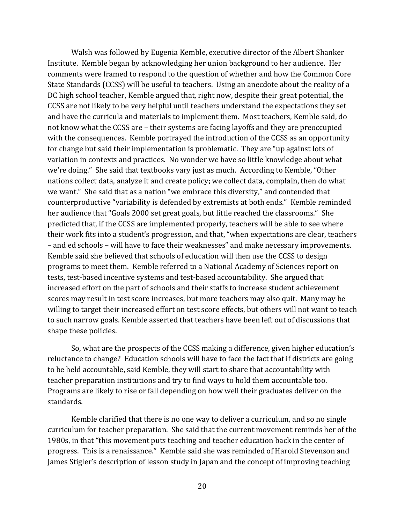Walsh was followed by Eugenia Kemble, executive director of the Albert Shanker Institute. Kemble began by acknowledging her union background to her audience. Her comments were framed to respond to the question of whether and how the Common Core State Standards (CCSS) will be useful to teachers. Using an anecdote about the reality of a DC high school teacher, Kemble argued that, right now, despite their great potential, the CCSS are not likely to be very helpful until teachers understand the expectations they set and have the curricula and materials to implement them. Most teachers, Kemble said, do not know what the CCSS are – their systems are facing layoffs and they are preoccupied with the consequences. Kemble portrayed the introduction of the CCSS as an opportunity for change but said their implementation is problematic. They are "up against lots of variation in contexts and practices. No wonder we have so little knowledge about what we're doing." She said that textbooks vary just as much. According to Kemble, "Other nations collect data, analyze it and create policy; we collect data, complain, then do what we want." She said that as a nation "we embrace this diversity," and contended that counterproductive "variability is defended by extremists at both ends." Kemble reminded her audience that "Goals 2000 set great goals, but little reached the classrooms." She predicted that, if the CCSS are implemented properly, teachers will be able to see where their work fits into a student's progression, and that, "when expectations are clear, teachers – and ed schools – will have to face their weaknesses" and make necessary improvements. Kemble said she believed that schools of education will then use the CCSS to design programs to meet them. Kemble referred to a National Academy of Sciences report on tests, test-based incentive systems and test-based accountability. She argued that increased effort on the part of schools and their staffs to increase student achievement scores may result in test score increases, but more teachers may also quit. Many may be willing to target their increased effort on test score effects, but others will not want to teach to such narrow goals. Kemble asserted that teachers have been left out of discussions that shape these policies.

So, what are the prospects of the CCSS making a difference, given higher education's reluctance to change? Education schools will have to face the fact that if districts are going to be held accountable, said Kemble, they will start to share that accountability with teacher preparation institutions and try to find ways to hold them accountable too. Programs are likely to rise or fall depending on how well their graduates deliver on the standards.

Kemble clarified that there is no one way to deliver a curriculum, and so no single curriculum for teacher preparation. She said that the current movement reminds her of the 1980s, in that "this movement puts teaching and teacher education back in the center of progress. This is a renaissance." Kemble said she was reminded of Harold Stevenson and James Stigler's description of lesson study in Japan and the concept of improving teaching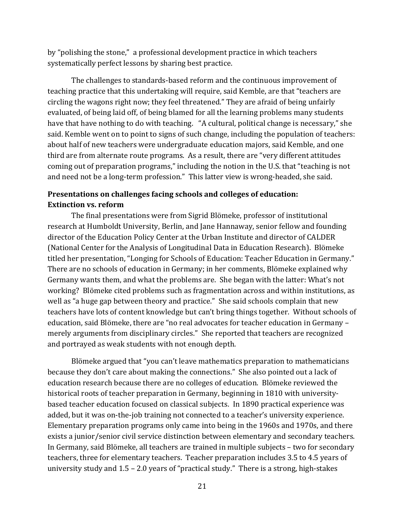by "polishing the stone," a professional development practice in which teachers systematically perfect lessons by sharing best practice.

The challenges to standards-based reform and the continuous improvement of teaching practice that this undertaking will require, said Kemble, are that "teachers are circling the wagons right now; they feel threatened." They are afraid of being unfairly evaluated, of being laid off, of being blamed for all the learning problems many students have that have nothing to do with teaching. "A cultural, political change is necessary," she said. Kemble went on to point to signs of such change, including the population of teachers: about half of new teachers were undergraduate education majors, said Kemble, and one third are from alternate route programs. As a result, there are "very different attitudes coming out of preparation programs," including the notion in the U.S. that "teaching is not and need not be a long-term profession." This latter view is wrong-headed, she said.

# **Presentations on challenges facing schools and colleges of education: Extinction vs. reform**

The final presentations were from Sigrid Blömeke, professor of institutional research at Humboldt University, Berlin, and Jane Hannaway, senior fellow and founding director of the Education Policy Center at the Urban Institute and director of CALDER (National Center for the Analysis of Longitudinal Data in Education Research). Blömeke titled her presentation, "Longing for Schools of Education: Teacher Education in Germany." There are no schools of education in Germany; in her comments, Blömeke explained why Germany wants them, and what the problems are. She began with the latter: What's not working? Blömeke cited problems such as fragmentation across and within institutions, as well as "a huge gap between theory and practice." She said schools complain that new teachers have lots of content knowledge but can't bring things together. Without schools of education, said Blömeke, there are "no real advocates for teacher education in Germany – merely arguments from disciplinary circles." She reported that teachers are recognized and portrayed as weak students with not enough depth.

Blömeke argued that "you can't leave mathematics preparation to mathematicians because they don't care about making the connections." She also pointed out a lack of education research because there are no colleges of education. Blömeke reviewed the historical roots of teacher preparation in Germany, beginning in 1810 with universitybased teacher education focused on classical subjects. In 1890 practical experience was added, but it was on-the-job training not connected to a teacher's university experience. Elementary preparation programs only came into being in the 1960s and 1970s, and there exists a junior/senior civil service distinction between elementary and secondary teachers. In Germany, said Blömeke, all teachers are trained in multiple subjects – two for secondary teachers, three for elementary teachers. Teacher preparation includes 3.5 to 4.5 years of university study and 1.5 – 2.0 years of "practical study." There is a strong, high-stakes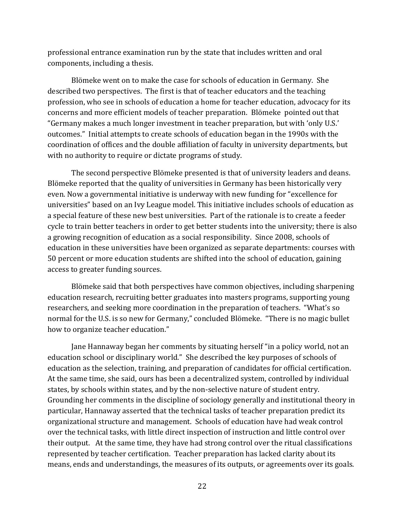professional entrance examination run by the state that includes written and oral components, including a thesis.

Blömeke went on to make the case for schools of education in Germany. She described two perspectives. The first is that of teacher educators and the teaching profession, who see in schools of education a home for teacher education, advocacy for its concerns and more efficient models of teacher preparation. Blömeke pointed out that "Germany makes a much longer investment in teacher preparation, but with 'only U.S.' outcomes." Initial attempts to create schools of education began in the 1990s with the coordination of offices and the double affiliation of faculty in university departments, but with no authority to require or dictate programs of study.

The second perspective Blömeke presented is that of university leaders and deans. Blömeke reported that the quality of universities in Germany has been historically very even. Now a governmental initiative is underway with new funding for "excellence for universities" based on an Ivy League model. This initiative includes schools of education as a special feature of these new best universities. Part of the rationale is to create a feeder cycle to train better teachers in order to get better students into the university; there is also a growing recognition of education as a social responsibility. Since 2008, schools of education in these universities have been organized as separate departments: courses with 50 percent or more education students are shifted into the school of education, gaining access to greater funding sources.

Blömeke said that both perspectives have common objectives, including sharpening education research, recruiting better graduates into masters programs, supporting young researchers, and seeking more coordination in the preparation of teachers. "What's so normal for the U.S. is so new for Germany," concluded Blömeke. "There is no magic bullet how to organize teacher education."

Jane Hannaway began her comments by situating herself "in a policy world, not an education school or disciplinary world." She described the key purposes of schools of education as the selection, training, and preparation of candidates for official certification. At the same time, she said, ours has been a decentralized system, controlled by individual states, by schools within states, and by the non-selective nature of student entry. Grounding her comments in the discipline of sociology generally and institutional theory in particular, Hannaway asserted that the technical tasks of teacher preparation predict its organizational structure and management. Schools of education have had weak control over the technical tasks, with little direct inspection of instruction and little control over their output. At the same time, they have had strong control over the ritual classifications represented by teacher certification. Teacher preparation has lacked clarity about its means, ends and understandings, the measures of its outputs, or agreements over its goals.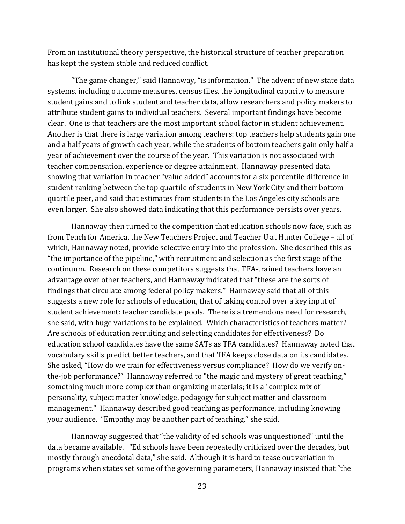From an institutional theory perspective, the historical structure of teacher preparation has kept the system stable and reduced conflict.

"The game changer," said Hannaway, "is information." The advent of new state data systems, including outcome measures, census files, the longitudinal capacity to measure student gains and to link student and teacher data, allow researchers and policy makers to attribute student gains to individual teachers. Several important findings have become clear. One is that teachers are the most important school factor in student achievement. Another is that there is large variation among teachers: top teachers help students gain one and a half years of growth each year, while the students of bottom teachers gain only half a year of achievement over the course of the year. This variation is not associated with teacher compensation, experience or degree attainment. Hannaway presented data showing that variation in teacher "value added" accounts for a six percentile difference in student ranking between the top quartile of students in New York City and their bottom quartile peer, and said that estimates from students in the Los Angeles city schools are even larger. She also showed data indicating that this performance persists over years.

Hannaway then turned to the competition that education schools now face, such as from Teach for America, the New Teachers Project and Teacher U at Hunter College – all of which, Hannaway noted, provide selective entry into the profession. She described this as "the importance of the pipeline," with recruitment and selection as the first stage of the continuum. Research on these competitors suggests that TFA-trained teachers have an advantage over other teachers, and Hannaway indicated that "these are the sorts of findings that circulate among federal policy makers." Hannaway said that all of this suggests a new role for schools of education, that of taking control over a key input of student achievement: teacher candidate pools. There is a tremendous need for research, she said, with huge variations to be explained. Which characteristics of teachers matter? Are schools of education recruiting and selecting candidates for effectiveness? Do education school candidates have the same SATs as TFA candidates? Hannaway noted that vocabulary skills predict better teachers, and that TFA keeps close data on its candidates. She asked, "How do we train for effectiveness versus compliance? How do we verify onthe-job performance?" Hannaway referred to "the magic and mystery of great teaching," something much more complex than organizing materials; it is a "complex mix of personality, subject matter knowledge, pedagogy for subject matter and classroom management." Hannaway described good teaching as performance, including knowing your audience. "Empathy may be another part of teaching," she said.

Hannaway suggested that "the validity of ed schools was unquestioned" until the data became available. "Ed schools have been repeatedly criticized over the decades, but mostly through anecdotal data," she said. Although it is hard to tease out variation in programs when states set some of the governing parameters, Hannaway insisted that "the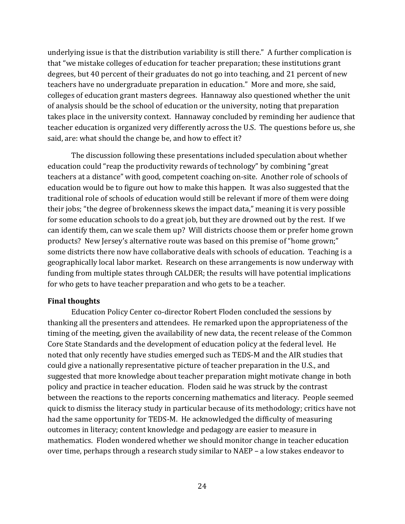underlying issue is that the distribution variability is still there." A further complication is that "we mistake colleges of education for teacher preparation; these institutions grant degrees, but 40 percent of their graduates do not go into teaching, and 21 percent of new teachers have no undergraduate preparation in education." More and more, she said, colleges of education grant masters degrees. Hannaway also questioned whether the unit of analysis should be the school of education or the university, noting that preparation takes place in the university context. Hannaway concluded by reminding her audience that teacher education is organized very differently across the U.S. The questions before us, she said, are: what should the change be, and how to effect it?

The discussion following these presentations included speculation about whether education could "reap the productivity rewards of technology" by combining "great teachers at a distance" with good, competent coaching on-site. Another role of schools of education would be to figure out how to make this happen. It was also suggested that the traditional role of schools of education would still be relevant if more of them were doing their jobs; "the degree of brokenness skews the impact data," meaning it is very possible for some education schools to do a great job, but they are drowned out by the rest. If we can identify them, can we scale them up? Will districts choose them or prefer home grown products? New Jersey's alternative route was based on this premise of "home grown;" some districts there now have collaborative deals with schools of education. Teaching is a geographically local labor market. Research on these arrangements is now underway with funding from multiple states through CALDER; the results will have potential implications for who gets to have teacher preparation and who gets to be a teacher.

#### **Final thoughts**

Education Policy Center co-director Robert Floden concluded the sessions by thanking all the presenters and attendees. He remarked upon the appropriateness of the timing of the meeting, given the availability of new data, the recent release of the Common Core State Standards and the development of education policy at the federal level. He noted that only recently have studies emerged such as TEDS-M and the AIR studies that could give a nationally representative picture of teacher preparation in the U.S., and suggested that more knowledge about teacher preparation might motivate change in both policy and practice in teacher education. Floden said he was struck by the contrast between the reactions to the reports concerning mathematics and literacy. People seemed quick to dismiss the literacy study in particular because of its methodology; critics have not had the same opportunity for TEDS-M. He acknowledged the difficulty of measuring outcomes in literacy; content knowledge and pedagogy are easier to measure in mathematics. Floden wondered whether we should monitor change in teacher education over time, perhaps through a research study similar to NAEP – a low stakes endeavor to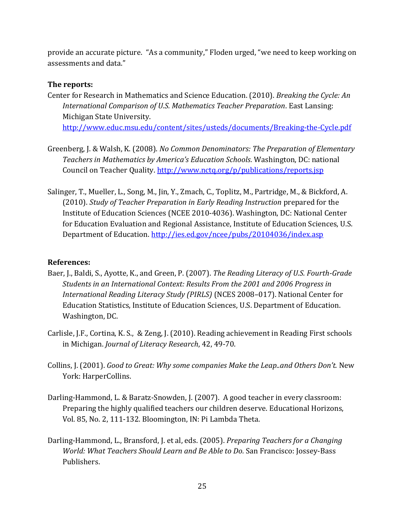provide an accurate picture. "As a community," Floden urged, "we need to keep working on assessments and data."

# **The reports:**

- Center for Research in Mathematics and Science Education. (2010). *Breaking the Cycle: An International Comparison of U.S. Mathematics Teacher Preparation*. East Lansing: Michigan State University. <http://www.educ.msu.edu/content/sites/usteds/documents/Breaking-the-Cycle.pdf>
- Greenberg, J. & Walsh, K. (2008). *No Common Denominators: The Preparation of Elementary Teachers in Mathematics by America's Education Schools.* Washington, DC: national Council on Teacher Quality. <http://www.nctq.org/p/publications/reports.jsp>
- Salinger, T., Mueller, L., Song, M., Jin, Y., Zmach, C., Toplitz, M., Partridge, M., & Bickford, A. (2010). *Study of Teacher Preparation in Early Reading Instruction* prepared for the Institute of Education Sciences (NCEE 2010-4036). Washington, DC: National Center for Education Evaluation and Regional Assistance, Institute of Education Sciences, U.S. Department of Education[. http://ies.ed.gov/ncee/pubs/20104036/index.asp](http://ies.ed.gov/ncee/pubs/20104036/index.asp)

# **References:**

- Baer, J., Baldi, S., Ayotte, K., and Green, P. (2007). *The Reading Literacy of U.S. Fourth-Grade Students in an International Context: Results From the 2001 and 2006 Progress in International Reading Literacy Study (PIRLS)* (NCES 2008–017). National Center for Education Statistics, Institute of Education Sciences, U.S. Department of Education. Washington, DC.
- Carlisle, J.F., Cortina, K. S., & Zeng, J. (2010). Reading achievement in Reading First schools in Michigan. *Journal of Literacy Research*, 42, 49-70.
- Collins, J. (2001). *Good to Great: Why some companies Make the Leap..and Others Don't.* New York: HarperCollins.
- Darling-Hammond, L. & Baratz-Snowden, J. (2007). A good teacher in every classroom: Preparing the highly qualified teachers our children deserve. Educational Horizons, Vol. 85, No. 2, 111-132. Bloomington, IN: Pi Lambda Theta.
- Darling-Hammond, L., Bransford, J. et al, eds. (2005). *Preparing Teachers for a Changing World: What Teachers Should Learn and Be Able to Do.* San Francisco: Jossey-Bass Publishers.